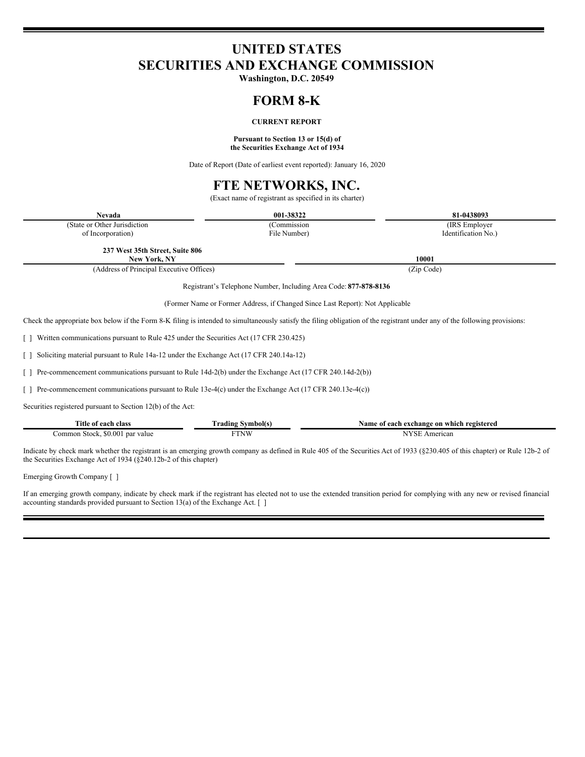# **UNITED STATES SECURITIES AND EXCHANGE COMMISSION**

**Washington, D.C. 20549**

## **FORM 8-K**

## **CURRENT REPORT**

#### **Pursuant to Section 13 or 15(d) of the Securities Exchange Act of 1934**

Date of Report (Date of earliest event reported): January 16, 2020

# **FTE NETWORKS, INC.**

(Exact name of registrant as specified in its charter)

| <b>Nevada</b>                                                                                          | 001-38322                                                                                                                                         | 81-0438093                                                                                                                                                                  |
|--------------------------------------------------------------------------------------------------------|---------------------------------------------------------------------------------------------------------------------------------------------------|-----------------------------------------------------------------------------------------------------------------------------------------------------------------------------|
| (State or Other Jurisdiction)                                                                          | (Commission                                                                                                                                       | (IRS Employer)                                                                                                                                                              |
| of Incorporation)                                                                                      | File Number)                                                                                                                                      | Identification No.)                                                                                                                                                         |
| 237 West 35th Street, Suite 806<br>New York, NY                                                        |                                                                                                                                                   | 10001                                                                                                                                                                       |
| (Address of Principal Executive Offices)                                                               |                                                                                                                                                   | (Zip Code)                                                                                                                                                                  |
|                                                                                                        | Registrant's Telephone Number, Including Area Code: 877-878-8136<br>(Former Name or Former Address, if Changed Since Last Report): Not Applicable |                                                                                                                                                                             |
|                                                                                                        |                                                                                                                                                   | Check the appropriate box below if the Form 8-K filing is intended to simultaneously satisfy the filing obligation of the registrant under any of the following provisions: |
| Written communications pursuant to Rule 425 under the Securities Act (17 CFR 230.425)                  |                                                                                                                                                   |                                                                                                                                                                             |
| Soliciting material pursuant to Rule 14a-12 under the Exchange Act (17 CFR 240.14a-12)                 |                                                                                                                                                   |                                                                                                                                                                             |
| Pre-commencement communications pursuant to Rule 14d-2(b) under the Exchange Act (17 CFR 240.14d-2(b)) |                                                                                                                                                   |                                                                                                                                                                             |
| Pre-commencement communications pursuant to Rule 13e-4(c) under the Exchange Act (17 CFR 240.13e-4(c)) |                                                                                                                                                   |                                                                                                                                                                             |
| Securities registered pursuant to Section 12(b) of the Act:                                            |                                                                                                                                                   |                                                                                                                                                                             |
| Title of each class                                                                                    | <b>Trading Symbol(s)</b>                                                                                                                          | Name of each exchange on which registered                                                                                                                                   |
| Common Stock, \$0.001 par value                                                                        | <b>FTNW</b>                                                                                                                                       | NYSE American                                                                                                                                                               |

Indicate by check mark whether the registrant is an emerging growth company as defined in Rule 405 of the Securities Act of 1933 (§230.405 of this chapter) or Rule 12b-2 of the Securities Exchange Act of 1934 (§240.12b-2 of this chapter)

Emerging Growth Company [ ]

If an emerging growth company, indicate by check mark if the registrant has elected not to use the extended transition period for complying with any new or revised financial accounting standards provided pursuant to Section 13(a) of the Exchange Act.  $\lceil \ \rceil$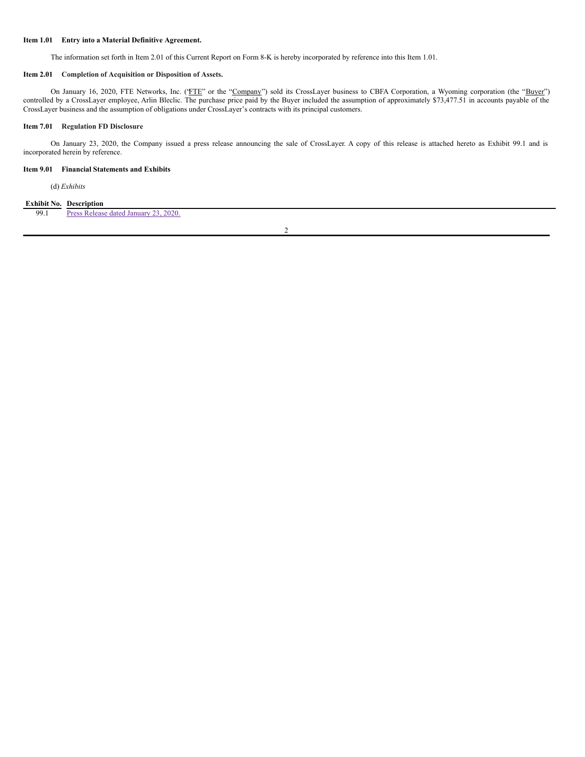### **Item 1.01 Entry into a Material Definitive Agreement.**

The information set forth in Item 2.01 of this Current Report on Form 8-K is hereby incorporated by reference into this Item 1.01.

#### **Item 2.01 Completion of Acquisition or Disposition of Assets.**

On January 16, 2020, FTE Networks, Inc. ('FTE" or the "Company") sold its CrossLayer business to CBFA Corporation, a Wyoming corporation (the "Buyer") controlled by a CrossLayer employee, Arlin Bleclic. The purchase price paid by the Buyer included the assumption of approximately \$73,477.51 in accounts payable of the CrossLayer business and the assumption of obligations under CrossLayer's contracts with its principal customers.

## **Item 7.01 Regulation FD Disclosure**

On January 23, 2020, the Company issued a press release announcing the sale of CrossLayer. A copy of this release is attached hereto as Exhibit 99.1 and is incorporated herein by reference.

### **Item 9.01 Financial Statements and Exhibits**

(d) *Exhibits*

## **Exhibit No. Description**

99.1 Press Release dated [January](#page-4-0) 23, 2020.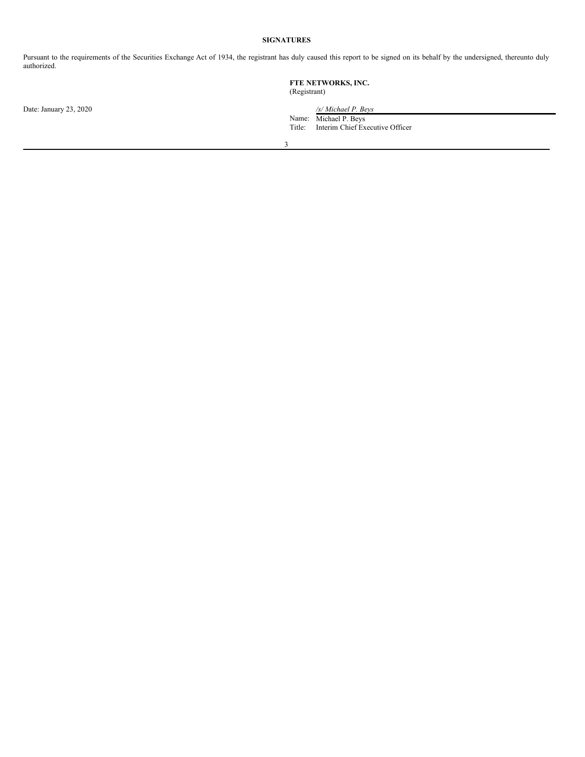### **SIGNATURES**

Pursuant to the requirements of the Securities Exchange Act of 1934, the registrant has duly caused this report to be signed on its behalf by the undersigned, thereunto duly authorized.

|                        | FTE NETWORKS, INC.<br>(Registrant) |                                                                                 |
|------------------------|------------------------------------|---------------------------------------------------------------------------------|
| Date: January 23, 2020 | Title:                             | /s/ Michael P. Beys<br>Name: Michael P. Beys<br>Interim Chief Executive Officer |
|                        | $\sim$                             |                                                                                 |